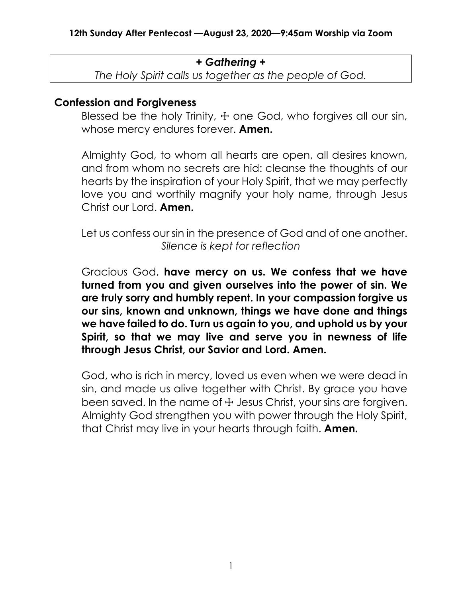### *+ Gathering +*

*The Holy Spirit calls us together as the people of God.*

### **Confession and Forgiveness**

Blessed be the holy Trinity,  $+$  one God, who forgives all our sin, whose mercy endures forever. **Amen.**

Almighty God, to whom all hearts are open, all desires known, and from whom no secrets are hid: cleanse the thoughts of our hearts by the inspiration of your Holy Spirit, that we may perfectly love you and worthily magnify your holy name, through Jesus Christ our Lord. **Amen.**

Let us confess our sin in the presence of God and of one another. *Silence is kept for reflection*

Gracious God, **have mercy on us. We confess that we have turned from you and given ourselves into the power of sin. We are truly sorry and humbly repent. In your compassion forgive us our sins, known and unknown, things we have done and things we have failed to do. Turn us again to you, and uphold us by your Spirit, so that we may live and serve you in newness of life through Jesus Christ, our Savior and Lord. Amen.**

God, who is rich in mercy, loved us even when we were dead in sin, and made us alive together with Christ. By grace you have been saved. In the name of  $\pm$  Jesus Christ, your sins are forgiven. Almighty God strengthen you with power through the Holy Spirit, that Christ may live in your hearts through faith. **Amen.**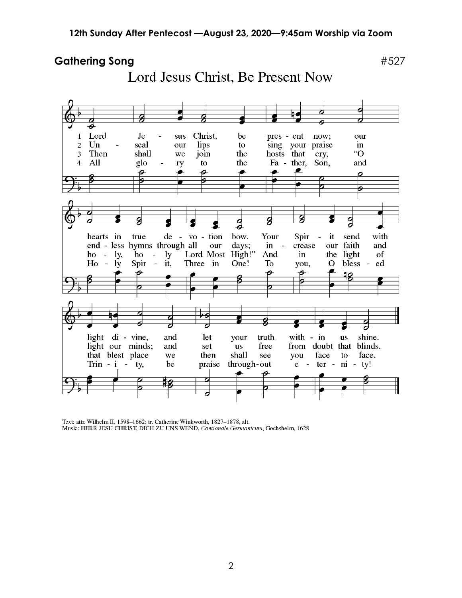### Gathering Song **Exercise 2018** #527

Lord Jesus Christ, Be Present Now



Text: attr. Wilhelm II, 1598-1662; tr. Catherine Winkworth, 1827-1878, alt. Music: HERR JESU CHRIST, DICH ZU UNS WEND, Cantionale Germanicum, Gochsheim, 1628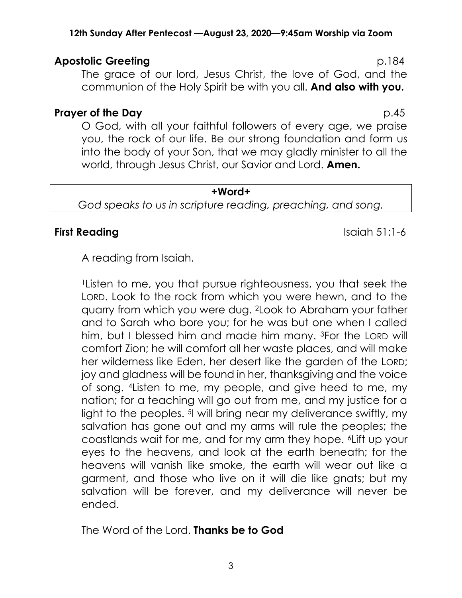### **12th Sunday After Pentecost —August 23, 2020—9:45am Worship via Zoom**

## **Apostolic Greeting**  p.184

The grace of our lord, Jesus Christ, the love of God, and the communion of the Holy Spirit be with you all. **And also with you.**

### **Prayer of the Day** p.45

O God, with all your faithful followers of every age, we praise you, the rock of our life. Be our strong foundation and form us into the body of your Son, that we may gladly minister to all the world, through Jesus Christ, our Savior and Lord. **Amen.**

**+Word+** *God speaks to us in scripture reading, preaching, and song.*

# **First Reading Islaming Islaming Islaming Islaming Islaming Islaming IS**

A reading from Isaiah.

<sup>1</sup>Listen to me, you that pursue righteousness, you that seek the LORD. Look to the rock from which you were hewn, and to the quarry from which you were dug. 2Look to Abraham your father and to Sarah who bore you; for he was but one when I called him, but I blessed him and made him many. 3For the LORD will comfort Zion; he will comfort all her waste places, and will make her wilderness like Eden, her desert like the garden of the LORD; joy and gladness will be found in her, thanksgiving and the voice of song. 4Listen to me, my people, and give heed to me, my nation; for a teaching will go out from me, and my justice for a light to the peoples. 5I will bring near my deliverance swiftly, my salvation has gone out and my arms will rule the peoples; the coastlands wait for me, and for my arm they hope. 6Lift up your eyes to the heavens, and look at the earth beneath; for the heavens will vanish like smoke, the earth will wear out like a garment, and those who live on it will die like gnats; but my salvation will be forever, and my deliverance will never be ended.

The Word of the Lord. **Thanks be to God**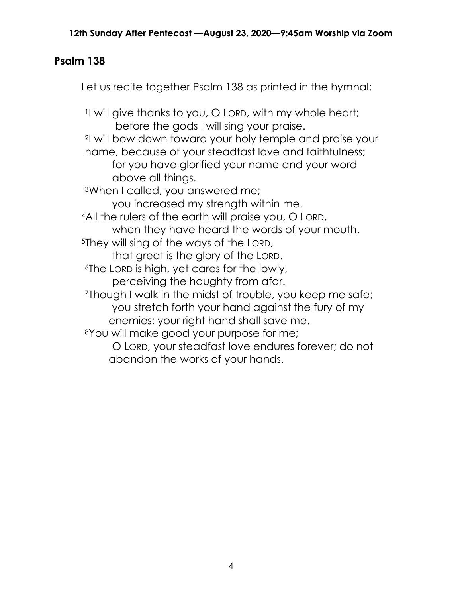# **Psalm 138**

Let us recite together Psalm 138 as printed in the hymnal:

<sup>1</sup>I will give thanks to you, O LORD, with my whole heart; before the gods I will sing your praise. <sup>2</sup>I will bow down toward your holy temple and praise your name, because of your steadfast love and faithfulness; for you have glorified your name and your word above all things. <sup>3</sup>When I called, you answered me; you increased my strength within me. <sup>4</sup>All the rulers of the earth will praise you, O LORD, when they have heard the words of your mouth. <sup>5</sup>They will sing of the ways of the LORD, that great is the glory of the LORD. <sup>6</sup>The LORD is high, yet cares for the lowly, perceiving the haughty from afar. <sup>7</sup>Though I walk in the midst of trouble, you keep me safe; you stretch forth your hand against the fury of my enemies; your right hand shall save me. <sup>8</sup>You will make good your purpose for me; O LORD, your steadfast love endures forever; do not abandon the works of your hands.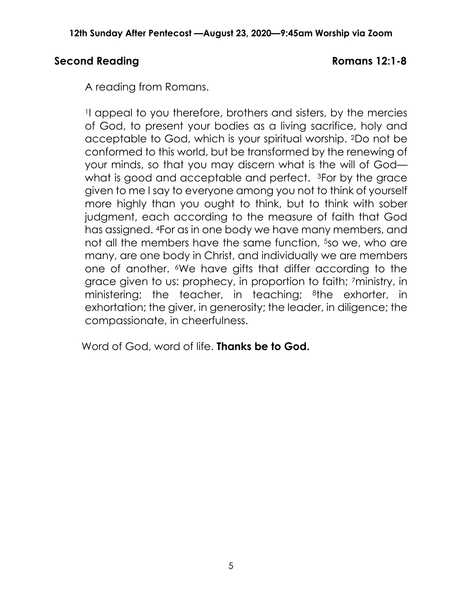## **Second Reading Romans 12:1-8**

A reading from Romans.

<sup>1</sup>I appeal to you therefore, brothers and sisters, by the mercies of God, to present your bodies as a living sacrifice, holy and acceptable to God, which is your spiritual worship. 2Do not be conformed to this world, but be transformed by the renewing of your minds, so that you may discern what is the will of God what is good and acceptable and perfect. <sup>3</sup>For by the grace given to me I say to everyone among you not to think of yourself more highly than you ought to think, but to think with sober judgment, each according to the measure of faith that God has assigned. 4For as in one body we have many members, and not all the members have the same function, <sup>5</sup>so we, who are many, are one body in Christ, and individually we are members one of another. 6We have gifts that differ according to the grace given to us: prophecy, in proportion to faith; 7ministry, in ministering; the teacher, in teaching; <sup>8</sup>the exhorter, in exhortation; the giver, in generosity; the leader, in diligence; the compassionate, in cheerfulness.

Word of God, word of life. **Thanks be to God.**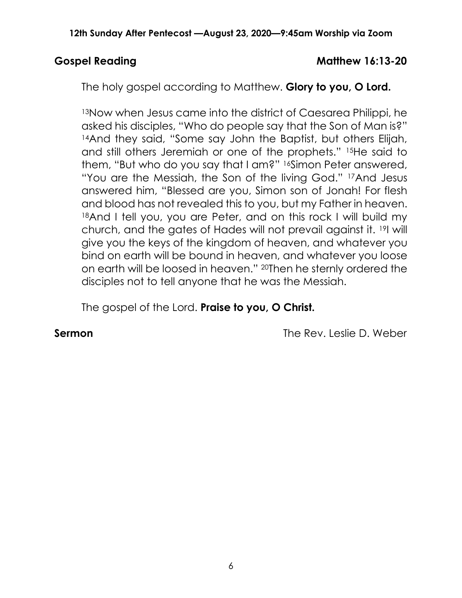## Gospel Reading **Matthew 16:13-20**

The holy gospel according to Matthew. **Glory to you, O Lord.**

13Now when Jesus came into the district of Caesarea Philippi, he asked his disciples, "Who do people say that the Son of Man is?" 14And they said, "Some say John the Baptist, but others Elijah, and still others Jeremiah or one of the prophets." 15He said to them, "But who do you say that I am?" 16Simon Peter answered, "You are the Messiah, the Son of the living God." 17And Jesus answered him, "Blessed are you, Simon son of Jonah! For flesh and blood has not revealed this to you, but my Father in heaven. 18And I tell you, you are Peter, and on this rock I will build my church, and the gates of Hades will not prevail against it. 19I will give you the keys of the kingdom of heaven, and whatever you bind on earth will be bound in heaven, and whatever you loose on earth will be loosed in heaven." 20Then he sternly ordered the disciples not to tell anyone that he was the Messiah.

The gospel of the Lord. **Praise to you, O Christ.**

**Sermon** The Rev. Leslie D. Weber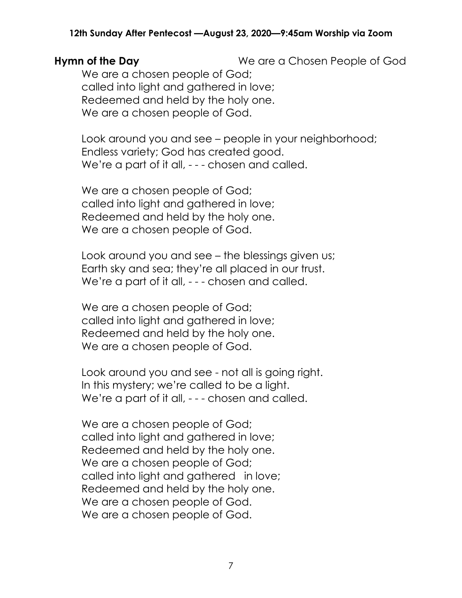### **12th Sunday After Pentecost —August 23, 2020—9:45am Worship via Zoom**

**Hymn of the Day We are a Chosen People of God** 

We are a chosen people of God; called into light and gathered in love; Redeemed and held by the holy one. We are a chosen people of God.

Look around you and see – people in your neighborhood; Endless variety; God has created good. We're a part of it all, - - - chosen and called.

We are a chosen people of God; called into light and gathered in love; Redeemed and held by the holy one. We are a chosen people of God.

Look around you and see – the blessings given us; Earth sky and sea; they're all placed in our trust. We're a part of it all, - - - chosen and called.

We are a chosen people of God; called into light and gathered in love; Redeemed and held by the holy one. We are a chosen people of God.

Look around you and see - not all is going right. In this mystery; we're called to be a light. We're a part of it all, - - - chosen and called.

We are a chosen people of God; called into light and gathered in love; Redeemed and held by the holy one. We are a chosen people of God; called into light and gathered in love; Redeemed and held by the holy one. We are a chosen people of God. We are a chosen people of God.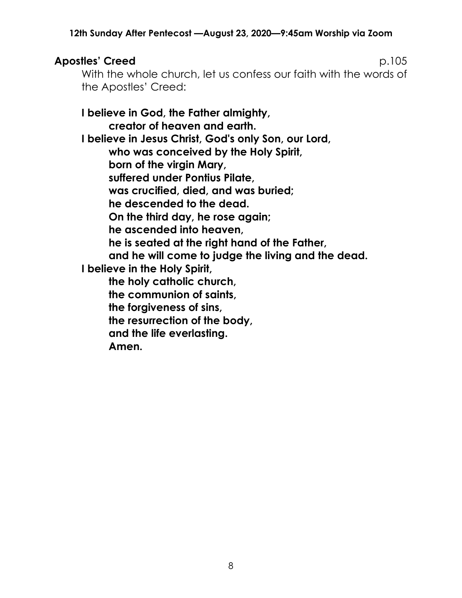# **Apostles' Creed** p.105

With the whole church, let us confess our faith with the words of the Apostles' Creed:

**I believe in God, the Father almighty, creator of heaven and earth. I believe in Jesus Christ, God's only Son, our Lord, who was conceived by the Holy Spirit, born of the virgin Mary, suffered under Pontius Pilate, was crucified, died, and was buried; he descended to the dead. On the third day, he rose again; he ascended into heaven, he is seated at the right hand of the Father, and he will come to judge the living and the dead. I believe in the Holy Spirit, the holy catholic church, the communion of saints, the forgiveness of sins, the resurrection of the body, and the life everlasting. Amen.**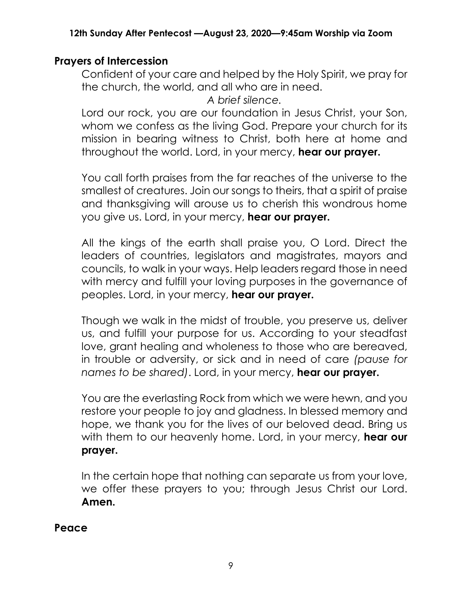# **Prayers of Intercession**

Confident of your care and helped by the Holy Spirit, we pray for the church, the world, and all who are in need.

*A brief silence.*

Lord our rock, you are our foundation in Jesus Christ, your Son, whom we confess as the living God. Prepare your church for its mission in bearing witness to Christ, both here at home and throughout the world. Lord, in your mercy, **hear our prayer.**

You call forth praises from the far reaches of the universe to the smallest of creatures. Join our songs to theirs, that a spirit of praise and thanksgiving will arouse us to cherish this wondrous home you give us. Lord, in your mercy, **hear our prayer.**

All the kings of the earth shall praise you, O Lord. Direct the leaders of countries, legislators and magistrates, mayors and councils, to walk in your ways. Help leaders regard those in need with mercy and fulfill your loving purposes in the governance of peoples. Lord, in your mercy, **hear our prayer.**

Though we walk in the midst of trouble, you preserve us, deliver us, and fulfill your purpose for us. According to your steadfast love, grant healing and wholeness to those who are bereaved, in trouble or adversity, or sick and in need of care *(pause for names to be shared)*. Lord, in your mercy, **hear our prayer.**

You are the everlasting Rock from which we were hewn, and you restore your people to joy and gladness. In blessed memory and hope, we thank you for the lives of our beloved dead. Bring us with them to our heavenly home. Lord, in your mercy, **hear our prayer.**

In the certain hope that nothing can separate us from your love, we offer these prayers to you; through Jesus Christ our Lord. **Amen.**

**Peace**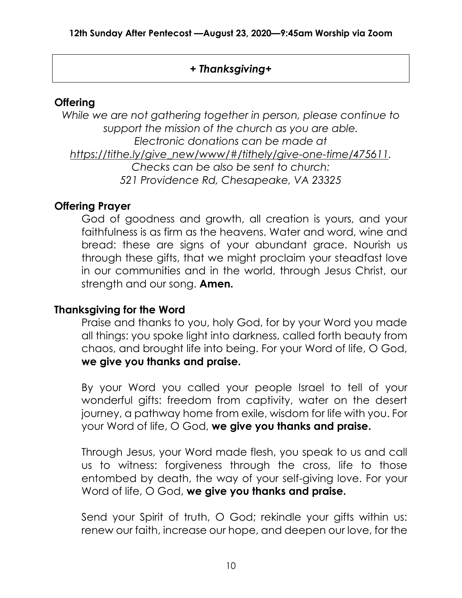# *+ Thanksgiving+*

# **Offering**

*While we are not gathering together in person, please continue to support the mission of the church as you are able. Electronic donations can be made at [https://tithe.ly/give\\_new/www/#/tithely/give-one-time/475611.](https://tithe.ly/give_new/www/#/tithely/give-one-time/475611) Checks can be also be sent to church: 521 Providence Rd, Chesapeake, VA 23325*

# **Offering Prayer**

God of goodness and growth, all creation is yours, and your faithfulness is as firm as the heavens. Water and word, wine and bread: these are signs of your abundant grace. Nourish us through these gifts, that we might proclaim your steadfast love in our communities and in the world, through Jesus Christ, our strength and our song. **Amen.**

## **Thanksgiving for the Word**

Praise and thanks to you, holy God, for by your Word you made all things: you spoke light into darkness, called forth beauty from chaos, and brought life into being. For your Word of life, O God, **we give you thanks and praise.**

By your Word you called your people Israel to tell of your wonderful gifts: freedom from captivity, water on the desert journey, a pathway home from exile, wisdom for life with you. For your Word of life, O God, **we give you thanks and praise.**

Through Jesus, your Word made flesh, you speak to us and call us to witness: forgiveness through the cross, life to those entombed by death, the way of your self-giving love. For your Word of life, O God, **we give you thanks and praise.**

Send your Spirit of truth, O God; rekindle your gifts within us: renew our faith, increase our hope, and deepen our love, for the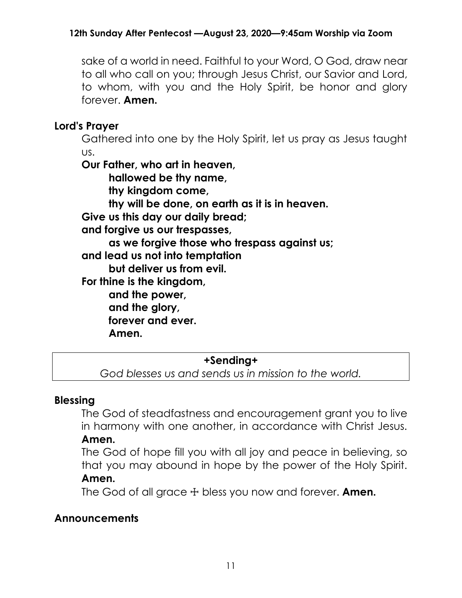sake of a world in need. Faithful to your Word, O God, draw near to all who call on you; through Jesus Christ, our Savior and Lord, to whom, with you and the Holy Spirit, be honor and glory forever. **Amen.**

# **Lord's Prayer**

Gathered into one by the Holy Spirit, let us pray as Jesus taught us.

**Our Father, who art in heaven, hallowed be thy name, thy kingdom come, thy will be done, on earth as it is in heaven. Give us this day our daily bread; and forgive us our trespasses, as we forgive those who trespass against us; and lead us not into temptation but deliver us from evil. For thine is the kingdom, and the power, and the glory, forever and ever. Amen.**

## **+Sending+**

*God blesses us and sends us in mission to the world.*

# **Blessing**

The God of steadfastness and encouragement grant you to live in harmony with one another, in accordance with Christ Jesus. **Amen.**

The God of hope fill you with all joy and peace in believing, so that you may abound in hope by the power of the Holy Spirit. **Amen.**

The God of all grace ☩ bless you now and forever. **Amen.**

# **Announcements**